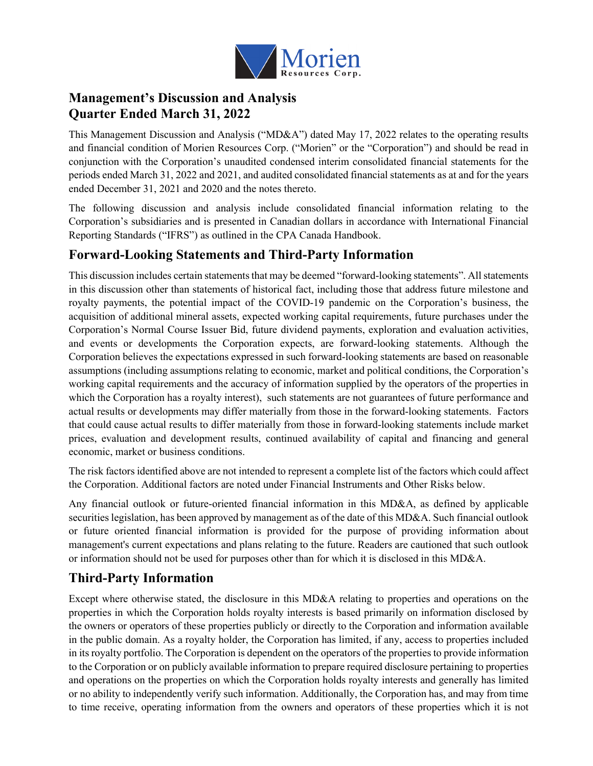

# **Management's Discussion and Analysis Quarter Ended March 31, 2022**

This Management Discussion and Analysis ("MD&A") dated May 17, 2022 relates to the operating results and financial condition of Morien Resources Corp. ("Morien" or the "Corporation") and should be read in conjunction with the Corporation's unaudited condensed interim consolidated financial statements for the periods ended March 31, 2022 and 2021, and audited consolidated financial statements as at and for the years ended December 31, 2021 and 2020 and the notes thereto.

The following discussion and analysis include consolidated financial information relating to the Corporation's subsidiaries and is presented in Canadian dollars in accordance with International Financial Reporting Standards ("IFRS") as outlined in the CPA Canada Handbook.

## **Forward-Looking Statements and Third-Party Information**

This discussion includes certain statements that may be deemed "forward-looking statements". All statements in this discussion other than statements of historical fact, including those that address future milestone and royalty payments, the potential impact of the COVID-19 pandemic on the Corporation's business, the acquisition of additional mineral assets, expected working capital requirements, future purchases under the Corporation's Normal Course Issuer Bid, future dividend payments, exploration and evaluation activities, and events or developments the Corporation expects, are forward-looking statements. Although the Corporation believes the expectations expressed in such forward-looking statements are based on reasonable assumptions (including assumptions relating to economic, market and political conditions, the Corporation's working capital requirements and the accuracy of information supplied by the operators of the properties in which the Corporation has a royalty interest), such statements are not guarantees of future performance and actual results or developments may differ materially from those in the forward-looking statements. Factors that could cause actual results to differ materially from those in forward-looking statements include market prices, evaluation and development results, continued availability of capital and financing and general economic, market or business conditions.

The risk factors identified above are not intended to represent a complete list of the factors which could affect the Corporation. Additional factors are noted under Financial Instruments and Other Risks below.

Any financial outlook or future-oriented financial information in this MD&A, as defined by applicable securities legislation, has been approved by management as of the date of this MD&A. Such financial outlook or future oriented financial information is provided for the purpose of providing information about management's current expectations and plans relating to the future. Readers are cautioned that such outlook or information should not be used for purposes other than for which it is disclosed in this MD&A.

# **Third-Party Information**

Except where otherwise stated, the disclosure in this MD&A relating to properties and operations on the properties in which the Corporation holds royalty interests is based primarily on information disclosed by the owners or operators of these properties publicly or directly to the Corporation and information available in the public domain. As a royalty holder, the Corporation has limited, if any, access to properties included in its royalty portfolio. The Corporation is dependent on the operators of the properties to provide information to the Corporation or on publicly available information to prepare required disclosure pertaining to properties and operations on the properties on which the Corporation holds royalty interests and generally has limited or no ability to independently verify such information. Additionally, the Corporation has, and may from time to time receive, operating information from the owners and operators of these properties which it is not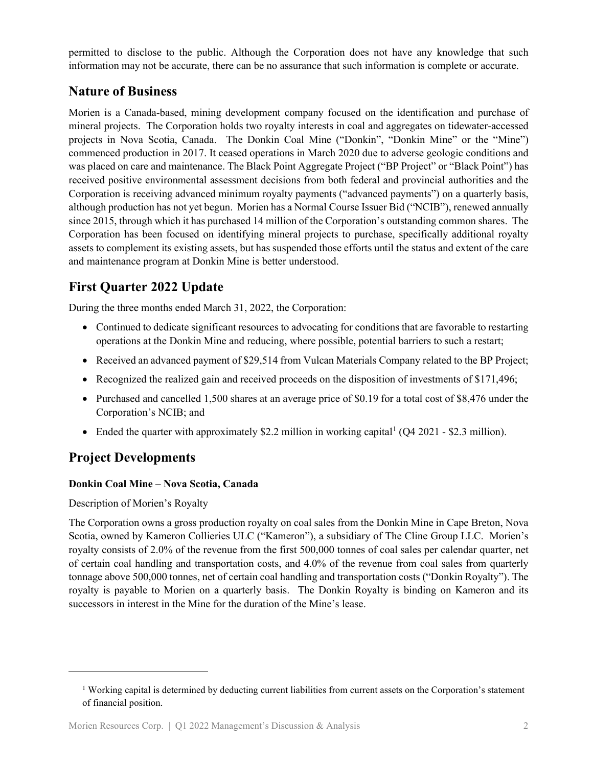permitted to disclose to the public. Although the Corporation does not have any knowledge that such information may not be accurate, there can be no assurance that such information is complete or accurate.

## **Nature of Business**

Morien is a Canada-based, mining development company focused on the identification and purchase of mineral projects. The Corporation holds two royalty interests in coal and aggregates on tidewater-accessed projects in Nova Scotia, Canada. The Donkin Coal Mine ("Donkin", "Donkin Mine" or the "Mine") commenced production in 2017. It ceased operations in March 2020 due to adverse geologic conditions and was placed on care and maintenance. The Black Point Aggregate Project ("BP Project" or "Black Point") has received positive environmental assessment decisions from both federal and provincial authorities and the Corporation is receiving advanced minimum royalty payments ("advanced payments") on a quarterly basis, although production has not yet begun. Morien has a Normal Course Issuer Bid ("NCIB"), renewed annually since 2015, through which it has purchased 14 million of the Corporation's outstanding common shares. The Corporation has been focused on identifying mineral projects to purchase, specifically additional royalty assets to complement its existing assets, but has suspended those efforts until the status and extent of the care and maintenance program at Donkin Mine is better understood.

# **First Quarter 2022 Update**

During the three months ended March 31, 2022, the Corporation:

- Continued to dedicate significant resources to advocating for conditions that are favorable to restarting operations at the Donkin Mine and reducing, where possible, potential barriers to such a restart;
- Received an advanced payment of \$29,514 from Vulcan Materials Company related to the BP Project;
- Recognized the realized gain and received proceeds on the disposition of investments of \$171,496;
- Purchased and cancelled 1,500 shares at an average price of \$0.19 for a total cost of \$8,476 under the Corporation's NCIB; and
- Ended the quarter with approximately \$2.2 million in working capital  $[O(4 \cdot 2021 $2.3 \text{ million})]$  $[O(4 \cdot 2021 $2.3 \text{ million})]$  $[O(4 \cdot 2021 $2.3 \text{ million})]$ .

# **Project Developments**

### **Donkin Coal Mine – Nova Scotia, Canada**

Description of Morien's Royalty

The Corporation owns a gross production royalty on coal sales from the Donkin Mine in Cape Breton, Nova Scotia, owned by Kameron Collieries ULC ("Kameron"), a subsidiary of The Cline Group LLC. Morien's royalty consists of 2.0% of the revenue from the first 500,000 tonnes of coal sales per calendar quarter, net of certain coal handling and transportation costs, and 4.0% of the revenue from coal sales from quarterly tonnage above 500,000 tonnes, net of certain coal handling and transportation costs ("Donkin Royalty"). The royalty is payable to Morien on a quarterly basis. The Donkin Royalty is binding on Kameron and its successors in interest in the Mine for the duration of the Mine's lease.

<span id="page-1-0"></span><sup>1</sup> Working capital is determined by deducting current liabilities from current assets on the Corporation's statement of financial position.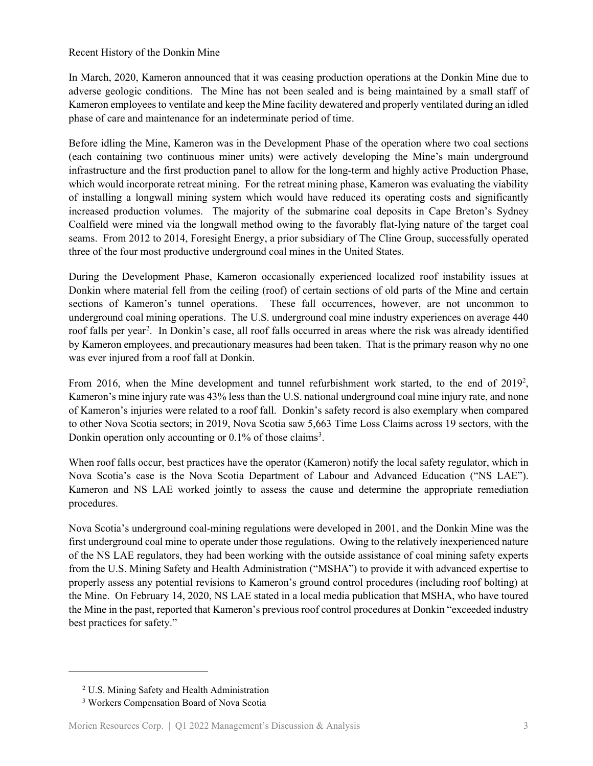#### Recent History of the Donkin Mine

In March, 2020, Kameron announced that it was ceasing production operations at the Donkin Mine due to adverse geologic conditions. The Mine has not been sealed and is being maintained by a small staff of Kameron employees to ventilate and keep the Mine facility dewatered and properly ventilated during an idled phase of care and maintenance for an indeterminate period of time.

Before idling the Mine, Kameron was in the Development Phase of the operation where two coal sections (each containing two continuous miner units) were actively developing the Mine's main underground infrastructure and the first production panel to allow for the long-term and highly active Production Phase, which would incorporate retreat mining. For the retreat mining phase, Kameron was evaluating the viability of installing a longwall mining system which would have reduced its operating costs and significantly increased production volumes. The majority of the submarine coal deposits in Cape Breton's Sydney Coalfield were mined via the longwall method owing to the favorably flat-lying nature of the target coal seams. From 2012 to 2014, Foresight Energy, a prior subsidiary of The Cline Group, successfully operated three of the four most productive underground coal mines in the United States.

During the Development Phase, Kameron occasionally experienced localized roof instability issues at Donkin where material fell from the ceiling (roof) of certain sections of old parts of the Mine and certain sections of Kameron's tunnel operations. These fall occurrences, however, are not uncommon to underground coal mining operations. The U.S. underground coal mine industry experiences on average 440 roof falls per year<sup>[2](#page-2-0)</sup>. In Donkin's case, all roof falls occurred in areas where the risk was already identified by Kameron employees, and precautionary measures had been taken. That is the primary reason why no one was ever injured from a roof fall at Donkin.

From 2016, when the Mine development and tunnel refurbishment work started, to the end of  $2019^2$ , Kameron's mine injury rate was 43% less than the U.S. national underground coal mine injury rate, and none of Kameron's injuries were related to a roof fall. Donkin's safety record is also exemplary when compared to other Nova Scotia sectors; in 2019, Nova Scotia saw 5,663 Time Loss Claims across 19 sectors, with the Donkin operation only accounting or 0.1% of those claims<sup>[3](#page-2-1)</sup>.

When roof falls occur, best practices have the operator (Kameron) notify the local safety regulator, which in Nova Scotia's case is the Nova Scotia Department of Labour and Advanced Education ("NS LAE"). Kameron and NS LAE worked jointly to assess the cause and determine the appropriate remediation procedures.

Nova Scotia's underground coal-mining regulations were developed in 2001, and the Donkin Mine was the first underground coal mine to operate under those regulations. Owing to the relatively inexperienced nature of the NS LAE regulators, they had been working with the outside assistance of coal mining safety experts from the U.S. Mining Safety and Health Administration ("MSHA") to provide it with advanced expertise to properly assess any potential revisions to Kameron's ground control procedures (including roof bolting) at the Mine. On February 14, 2020, NS LAE stated in a local media publication that MSHA, who have toured the Mine in the past, reported that Kameron's previous roof control procedures at Donkin "exceeded industry best practices for safety."

<span id="page-2-0"></span><sup>2</sup> U.S. Mining Safety and Health Administration

<span id="page-2-1"></span><sup>3</sup> Workers Compensation Board of Nova Scotia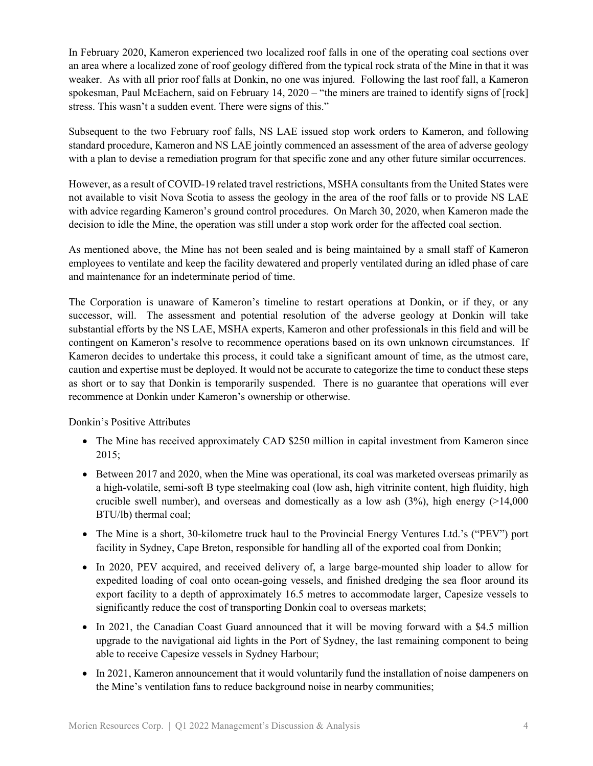In February 2020, Kameron experienced two localized roof falls in one of the operating coal sections over an area where a localized zone of roof geology differed from the typical rock strata of the Mine in that it was weaker. As with all prior roof falls at Donkin, no one was injured. Following the last roof fall, a Kameron spokesman, Paul McEachern, said on February 14, 2020 – "the miners are trained to identify signs of [rock] stress. This wasn't a sudden event. There were signs of this."

Subsequent to the two February roof falls, NS LAE issued stop work orders to Kameron, and following standard procedure, Kameron and NS LAE jointly commenced an assessment of the area of adverse geology with a plan to devise a remediation program for that specific zone and any other future similar occurrences.

However, as a result of COVID-19 related travel restrictions, MSHA consultants from the United States were not available to visit Nova Scotia to assess the geology in the area of the roof falls or to provide NS LAE with advice regarding Kameron's ground control procedures. On March 30, 2020, when Kameron made the decision to idle the Mine, the operation was still under a stop work order for the affected coal section.

As mentioned above, the Mine has not been sealed and is being maintained by a small staff of Kameron employees to ventilate and keep the facility dewatered and properly ventilated during an idled phase of care and maintenance for an indeterminate period of time.

The Corporation is unaware of Kameron's timeline to restart operations at Donkin, or if they, or any successor, will. The assessment and potential resolution of the adverse geology at Donkin will take substantial efforts by the NS LAE, MSHA experts, Kameron and other professionals in this field and will be contingent on Kameron's resolve to recommence operations based on its own unknown circumstances. If Kameron decides to undertake this process, it could take a significant amount of time, as the utmost care, caution and expertise must be deployed. It would not be accurate to categorize the time to conduct these steps as short or to say that Donkin is temporarily suspended. There is no guarantee that operations will ever recommence at Donkin under Kameron's ownership or otherwise.

Donkin's Positive Attributes

- The Mine has received approximately CAD \$250 million in capital investment from Kameron since 2015;
- Between 2017 and 2020, when the Mine was operational, its coal was marketed overseas primarily as a high-volatile, semi-soft B type steelmaking coal (low ash, high vitrinite content, high fluidity, high crucible swell number), and overseas and domestically as a low ash  $(3\%)$ , high energy (>14,000) BTU/lb) thermal coal;
- The Mine is a short, 30-kilometre truck haul to the Provincial Energy Ventures Ltd.'s ("PEV") port facility in Sydney, Cape Breton, responsible for handling all of the exported coal from Donkin;
- In 2020, PEV acquired, and received delivery of, a large barge-mounted ship loader to allow for expedited loading of coal onto ocean-going vessels, and finished dredging the sea floor around its export facility to a depth of approximately 16.5 metres to accommodate larger, Capesize vessels to significantly reduce the cost of transporting Donkin coal to overseas markets;
- In 2021, the Canadian Coast Guard announced that it will be moving forward with a \$4.5 million upgrade to the navigational aid lights in the Port of Sydney, the last remaining component to being able to receive Capesize vessels in Sydney Harbour;
- In 2021, Kameron announcement that it would voluntarily fund the installation of noise dampeners on the Mine's ventilation fans to reduce background noise in nearby communities;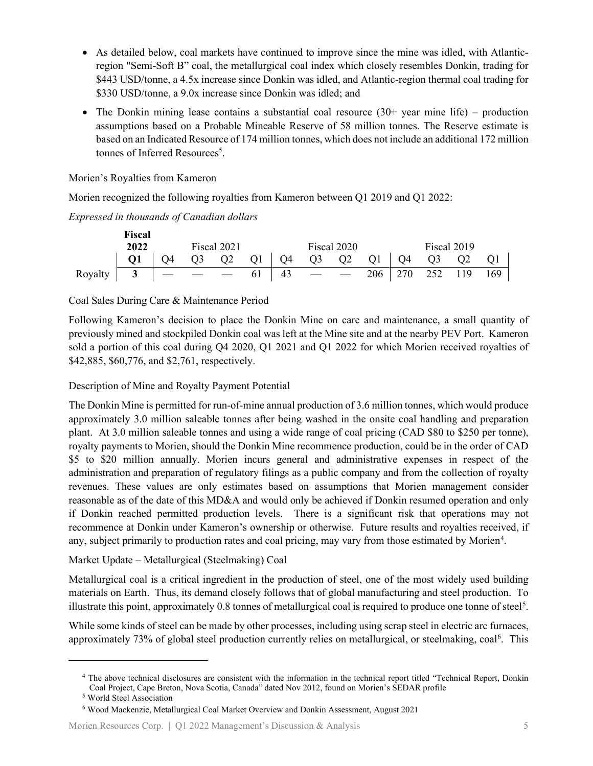- As detailed below, coal markets have continued to improve since the mine was idled, with Atlanticregion "Semi-Soft B" coal, the metallurgical coal index which closely resembles Donkin, trading for \$443 USD/tonne, a 4.5x increase since Donkin was idled, and Atlantic-region thermal coal trading for \$330 USD/tonne, a 9.0x increase since Donkin was idled; and
- The Donkin mining lease contains a substantial coal resource  $(30+)$  year mine life) production assumptions based on a Probable Mineable Reserve of 58 million tonnes. The Reserve estimate is based on an Indicated Resource of 174 million tonnes, which does not include an additional 172 million tonnes of Inferred Resources<sup>5</sup>.

Morien's Royalties from Kameron

Morien recognized the following royalties from Kameron between Q1 2019 and Q1 2022:

*Expressed in thousands of Canadian dollars* 

|                                                                                                     | <b>Fiscal</b>                                                          |  |  |             |  |  |             |  |  |             |  |  |  |
|-----------------------------------------------------------------------------------------------------|------------------------------------------------------------------------|--|--|-------------|--|--|-------------|--|--|-------------|--|--|--|
|                                                                                                     | 2022                                                                   |  |  | Fiscal 2021 |  |  | Fiscal 2020 |  |  | Fiscal 2019 |  |  |  |
|                                                                                                     | $Q1$   $Q4$ $Q3$ $Q2$ $Q1$   $Q4$ $Q3$ $Q2$ $Q1$   $Q4$ $Q3$ $Q2$ $Q1$ |  |  |             |  |  |             |  |  |             |  |  |  |
| Royalty $3 \mid - \mid - \mid - \mid 43 \mid - \mid - \mid 206 \mid 270 \mid 252 \mid 119 \mid 169$ |                                                                        |  |  |             |  |  |             |  |  |             |  |  |  |

Coal Sales During Care & Maintenance Period

Following Kameron's decision to place the Donkin Mine on care and maintenance, a small quantity of previously mined and stockpiled Donkin coal was left at the Mine site and at the nearby PEV Port. Kameron sold a portion of this coal during Q4 2020, Q1 2021 and Q1 2022 for which Morien received royalties of \$42,885, \$60,776, and \$2,761, respectively.

Description of Mine and Royalty Payment Potential

The Donkin Mine is permitted for run-of-mine annual production of 3.6 million tonnes, which would produce approximately 3.0 million saleable tonnes after being washed in the onsite coal handling and preparation plant. At 3.0 million saleable tonnes and using a wide range of coal pricing (CAD \$80 to \$250 per tonne), royalty payments to Morien, should the Donkin Mine recommence production, could be in the order of CAD \$5 to \$20 million annually. Morien incurs general and administrative expenses in respect of the administration and preparation of regulatory filings as a public company and from the collection of royalty revenues. These values are only estimates based on assumptions that Morien management consider reasonable as of the date of this MD&A and would only be achieved if Donkin resumed operation and only if Donkin reached permitted production levels. There is a significant risk that operations may not recommence at Donkin under Kameron's ownership or otherwise. Future results and royalties received, if any, subject primarily to production rates and coal pricing, may vary from those estimated by Morien<sup>[4](#page-4-0)</sup>.

Market Update – Metallurgical (Steelmaking) Coal

Metallurgical coal is a critical ingredient in the production of steel, one of the most widely used building materials on Earth. Thus, its demand closely follows that of global manufacturing and steel production. To illustrate this point, approximately  $0.8$  tonnes of metallurgical coal is required to produce one tonne of steel<sup>[5](#page-4-1)</sup>.

While some kinds of steel can be made by other processes, including using scrap steel in electric arc furnaces, approximately 73% of global steel production currently relies on metallurgical, or steelmaking, coal<sup>[6](#page-4-2)</sup>. This

<span id="page-4-0"></span><sup>4</sup> The above technical disclosures are consistent with the information in the technical report titled "Technical Report, Donkin Coal Project, Cape Breton, Nova Scotia, Canada" dated Nov 2012, found on Morien's SEDAR profile

<sup>5</sup> World Steel Association

<span id="page-4-2"></span><span id="page-4-1"></span><sup>6</sup> Wood Mackenzie, Metallurgical Coal Market Overview and Donkin Assessment, August 2021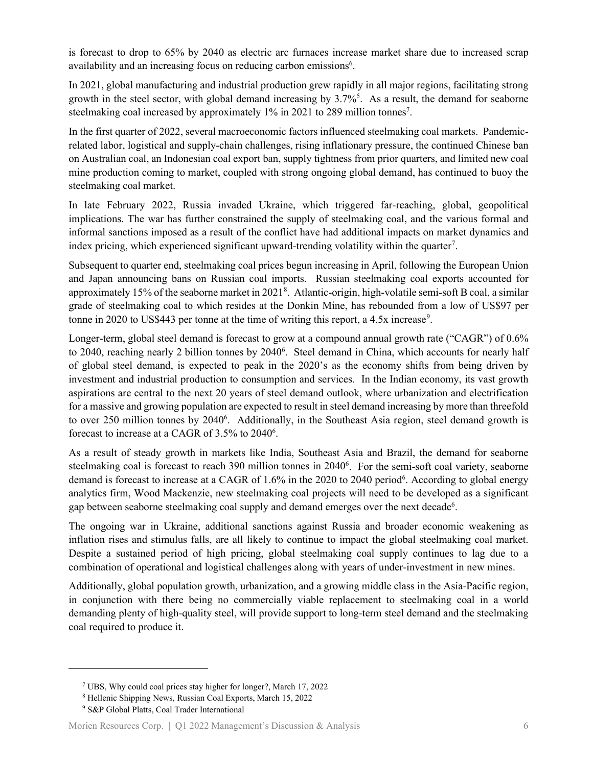is forecast to drop to 65% by 2040 as electric arc furnaces increase market share due to increased scrap availability and an increasing focus on reducing carbon emissions<sup>6</sup>.

In 2021, global manufacturing and industrial production grew rapidly in all major regions, facilitating strong growth in the steel sector, with global demand increasing by 3.7%<sup>5</sup>. As a result, the demand for seaborne steelmaking coal increased by approximately 1% in 2021 to 289 million tonnes<sup>7</sup>.

In the first quarter of 2022, several macroeconomic factors influenced steelmaking coal markets. Pandemicrelated labor, logistical and supply-chain challenges, rising inflationary pressure, the continued Chinese ban on Australian coal, an Indonesian coal export ban, supply tightness from prior quarters, and limited new coal mine production coming to market, coupled with strong ongoing global demand, has continued to buoy the steelmaking coal market.

In late February 2022, Russia invaded Ukraine, which triggered far-reaching, global, geopolitical implications. The war has further constrained the supply of steelmaking coal, and the various formal and informal sanctions imposed as a result of the conflict have had additional impacts on market dynamics and index pricing, which experienced significant upward-trending volatility within the quarter<sup>[7](#page-5-0)</sup>.

Subsequent to quarter end, steelmaking coal prices begun increasing in April, following the European Union and Japan announcing bans on Russian coal imports. Russian steelmaking coal exports accounted for approximately 15% of the seaborne market in 2021[8](#page-5-1) . Atlantic-origin, high-volatile semi-soft B coal, a similar grade of steelmaking coal to which resides at the Donkin Mine, has rebounded from a low of US\$97 per tonne in 2020 to US\$443 per tonne at the time of writing this report, a  $4.5x$  increase<sup>[9](#page-5-2)</sup>.

Longer-term, global steel demand is forecast to grow at a compound annual growth rate ("CAGR") of 0.6% to 2040, reaching nearly 2 billion tonnes by 2040<sup>6</sup>. Steel demand in China, which accounts for nearly half of global steel demand, is expected to peak in the 2020's as the economy shifts from being driven by investment and industrial production to consumption and services. In the Indian economy, its vast growth aspirations are central to the next 20 years of steel demand outlook, where urbanization and electrification for a massive and growing population are expected to result in steel demand increasing by more than threefold to over 250 million tonnes by 2040<sup>6</sup>. Additionally, in the Southeast Asia region, steel demand growth is forecast to increase at a CAGR of  $3.5\%$  to  $2040^6$ .

As a result of steady growth in markets like India, Southeast Asia and Brazil, the demand for seaborne steelmaking coal is forecast to reach 390 million tonnes in 2040<sup>6</sup>. For the semi-soft coal variety, seaborne demand is forecast to increase at a CAGR of 1.6% in the 2020 to 2040 period<sup>6</sup>. According to global energy analytics firm, Wood Mackenzie, new steelmaking coal projects will need to be developed as a significant gap between seaborne steelmaking coal supply and demand emerges over the next decade<sup>6</sup>.

The ongoing war in Ukraine, additional sanctions against Russia and broader economic weakening as inflation rises and stimulus falls, are all likely to continue to impact the global steelmaking coal market. Despite a sustained period of high pricing, global steelmaking coal supply continues to lag due to a combination of operational and logistical challenges along with years of under-investment in new mines.

Additionally, global population growth, urbanization, and a growing middle class in the Asia-Pacific region, in conjunction with there being no commercially viable replacement to steelmaking coal in a world demanding plenty of high-quality steel, will provide support to long-term steel demand and the steelmaking coal required to produce it.

<sup>7</sup> UBS, Why could coal prices stay higher for longer?, March 17, 2022

<span id="page-5-1"></span><span id="page-5-0"></span><sup>8</sup> Hellenic Shipping News, Russian Coal Exports, March 15, 2022

<span id="page-5-2"></span><sup>9</sup> S&P Global Platts, Coal Trader International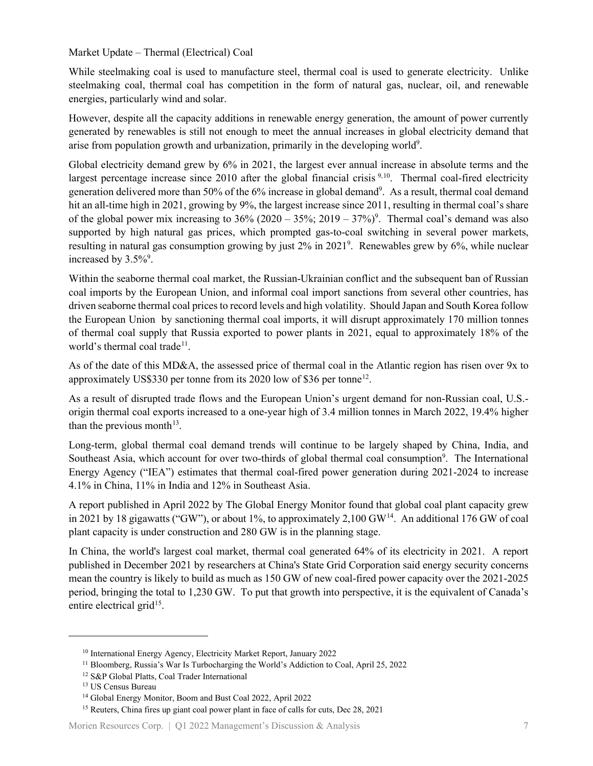Market Update – Thermal (Electrical) Coal

While steelmaking coal is used to manufacture steel, thermal coal is used to generate electricity. Unlike steelmaking coal, thermal coal has competition in the form of natural gas, nuclear, oil, and renewable energies, particularly wind and solar.

However, despite all the capacity additions in renewable energy generation, the amount of power currently generated by renewables is still not enough to meet the annual increases in global electricity demand that arise from population growth and urbanization, primarily in the developing world<sup>9</sup>.

Global electricity demand grew by 6% in 2021, the largest ever annual increase in absolute terms and the largest percentage increase since 2010 after the global financial crisis <sup>9,10</sup>. Thermal coal-fired electricity generation delivered more than 50% of the 6% increase in global demand<sup>9</sup>. As a result, thermal coal demand hit an all-time high in 2021, growing by 9%, the largest increase since 2011, resulting in thermal coal's share of the global power mix increasing to  $36\%$  (2020 –  $35\%$ ; 2019 –  $37\%$ )<sup>9</sup>. Thermal coal's demand was also supported by high natural gas prices, which prompted gas-to-coal switching in several power markets, resulting in natural gas consumption growing by just 2% in 2021<sup>9</sup>. Renewables grew by 6%, while nuclear increased by  $3.5\%$ <sup>9</sup>.

Within the seaborne thermal coal market, the Russian-Ukrainian conflict and the subsequent ban of Russian coal imports by the European Union, and informal coal import sanctions from several other countries, has driven seaborne thermal coal prices to record levels and high volatility. Should Japan and South Korea follow the European Union by sanctioning thermal coal imports, it will disrupt approximately 170 million tonnes of thermal coal supply that Russia exported to power plants in 2021, equal to approximately 18% of the world's thermal coal trade<sup>[11](#page-6-1)</sup>.

As of the date of this MD&A, the assessed price of thermal coal in the Atlantic region has risen over 9x to approximately US\$330 per tonne from its 2020 low of \$36 per tonne[12](#page-6-2).

As a result of disrupted trade flows and the European Union's urgent demand for non-Russian coal, U.S. origin thermal coal exports increased to a one-year high of 3.4 million tonnes in March 2022, 19.4% higher than the previous month<sup>[13](#page-6-3)</sup>.

Long-term, global thermal coal demand trends will continue to be largely shaped by China, India, and Southeast Asia, which account for over two-thirds of global thermal coal consumption<sup>9</sup>. The International Energy Agency ("IEA") estimates that thermal coal-fired power generation during 2021-2024 to increase 4.1% in China, 11% in India and 12% in Southeast Asia.

A report published in April 2022 by The Global Energy Monitor found that global coal plant capacity grew in 2021 by 18 gigawatts ("GW"), or about 1%, to approximately 2,100 GW<sup>14</sup>. An additional 176 GW of coal plant capacity is under construction and 280 GW is in the planning stage.

In China, the world's largest coal market, thermal coal generated 64% of its electricity in 2021. A report published in December 2021 by researchers at China's State Grid Corporation said energy security concerns mean the country is likely to build as much as 150 GW of new coal-fired power capacity over the 2021-2025 period, bringing the total to 1,230 GW. To put that growth into perspective, it is the equivalent of Canada's entire electrical grid<sup>15</sup>.

<span id="page-6-0"></span><sup>10</sup> International Energy Agency, Electricity Market Report, January 2022

<sup>&</sup>lt;sup>11</sup> Bloomberg, Russia's War Is Turbocharging the World's Addiction to Coal, April 25, 2022

<span id="page-6-3"></span><span id="page-6-2"></span><span id="page-6-1"></span><sup>12</sup> S&P Global Platts, Coal Trader International

<sup>13</sup> US Census Bureau

<sup>14</sup> Global Energy Monitor, Boom and Bust Coal 2022, April 2022

<span id="page-6-5"></span><span id="page-6-4"></span><sup>&</sup>lt;sup>15</sup> Reuters, China fires up giant coal power plant in face of calls for cuts, Dec 28, 2021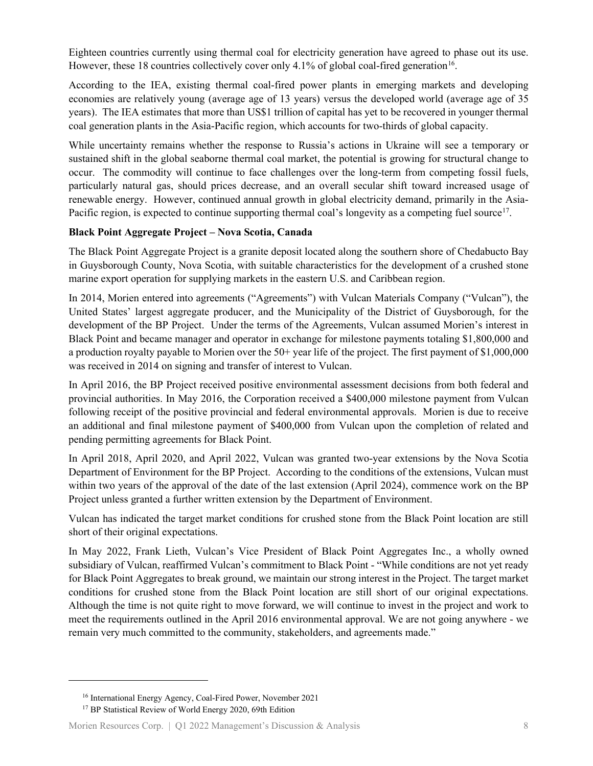Eighteen countries currently using thermal coal for electricity generation have agreed to phase out its use. However, these 18 countries collectively cover only 4.1% of global coal-fired generation<sup>16</sup>.

According to the IEA, existing thermal coal-fired power plants in emerging markets and developing economies are relatively young (average age of 13 years) versus the developed world (average age of 35 years). The IEA estimates that more than US\$1 trillion of capital has yet to be recovered in younger thermal coal generation plants in the Asia-Pacific region, which accounts for two-thirds of global capacity.

While uncertainty remains whether the response to Russia's actions in Ukraine will see a temporary or sustained shift in the global seaborne thermal coal market, the potential is growing for structural change to occur. The commodity will continue to face challenges over the long-term from competing fossil fuels, particularly natural gas, should prices decrease, and an overall secular shift toward increased usage of renewable energy. However, continued annual growth in global electricity demand, primarily in the Asia-Pacific region, is expected to continue supporting thermal coal's longevity as a competing fuel source<sup>17</sup>.

#### **Black Point Aggregate Project – Nova Scotia, Canada**

The Black Point Aggregate Project is a granite deposit located along the southern shore of Chedabucto Bay in Guysborough County, Nova Scotia, with suitable characteristics for the development of a crushed stone marine export operation for supplying markets in the eastern U.S. and Caribbean region.

In 2014, Morien entered into agreements ("Agreements") with Vulcan Materials Company ("Vulcan"), the United States' largest aggregate producer, and the Municipality of the District of Guysborough, for the development of the BP Project. Under the terms of the Agreements, Vulcan assumed Morien's interest in Black Point and became manager and operator in exchange for milestone payments totaling \$1,800,000 and a production royalty payable to Morien over the 50+ year life of the project. The first payment of \$1,000,000 was received in 2014 on signing and transfer of interest to Vulcan.

In April 2016, the BP Project received positive environmental assessment decisions from both federal and provincial authorities. In May 2016, the Corporation received a \$400,000 milestone payment from Vulcan following receipt of the positive provincial and federal environmental approvals. Morien is due to receive an additional and final milestone payment of \$400,000 from Vulcan upon the completion of related and pending permitting agreements for Black Point.

In April 2018, April 2020, and April 2022, Vulcan was granted two-year extensions by the Nova Scotia Department of Environment for the BP Project. According to the conditions of the extensions, Vulcan must within two years of the approval of the date of the last extension (April 2024), commence work on the BP Project unless granted a further written extension by the Department of Environment.

Vulcan has indicated the target market conditions for crushed stone from the Black Point location are still short of their original expectations.

In May 2022, Frank Lieth, Vulcan's Vice President of Black Point Aggregates Inc., a wholly owned subsidiary of Vulcan, reaffirmed Vulcan's commitment to Black Point - "While conditions are not yet ready for Black Point Aggregates to break ground, we maintain our strong interest in the Project. The target market conditions for crushed stone from the Black Point location are still short of our original expectations. Although the time is not quite right to move forward, we will continue to invest in the project and work to meet the requirements outlined in the April 2016 environmental approval. We are not going anywhere - we remain very much committed to the community, stakeholders, and agreements made."

<sup>16</sup> International Energy Agency, Coal-Fired Power, November 2021

<span id="page-7-1"></span><span id="page-7-0"></span><sup>&</sup>lt;sup>17</sup> BP Statistical Review of World Energy 2020, 69th Edition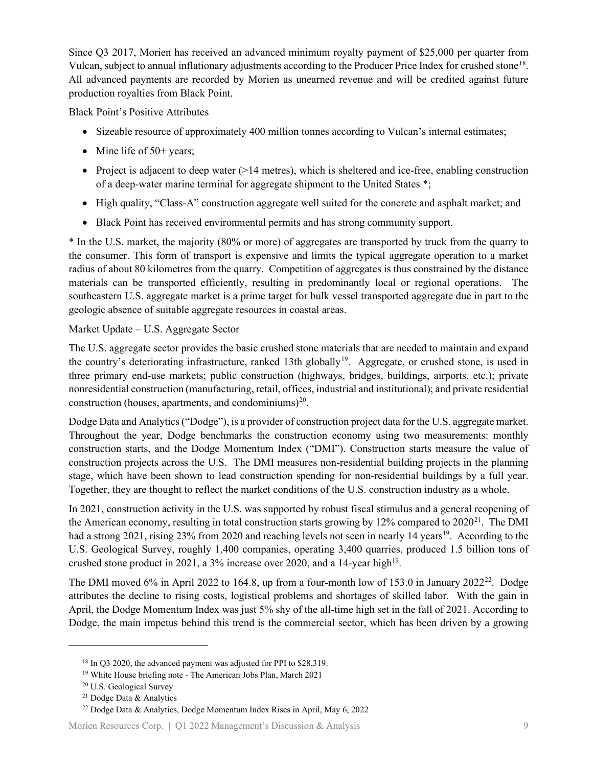Since Q3 2017, Morien has received an advanced minimum royalty payment of \$25,000 per quarter from Vulcan, subject to annual inflationary adjustments according to the Producer Price Index for crushed stone[18](#page-8-0). All advanced payments are recorded by Morien as unearned revenue and will be credited against future production royalties from Black Point.

Black Point's Positive Attributes

- Sizeable resource of approximately 400 million tonnes according to Vulcan's internal estimates;
- Mine life of  $50+$  years;
- Project is adjacent to deep water (>14 metres), which is sheltered and ice-free, enabling construction of a deep-water marine terminal for aggregate shipment to the United States \*;
- High quality, "Class-A" construction aggregate well suited for the concrete and asphalt market; and
- Black Point has received environmental permits and has strong community support.

\* In the U.S. market, the majority (80% or more) of aggregates are transported by truck from the quarry to the consumer. This form of transport is expensive and limits the typical aggregate operation to a market radius of about 80 kilometres from the quarry. Competition of aggregates is thus constrained by the distance materials can be transported efficiently, resulting in predominantly local or regional operations. The southeastern U.S. aggregate market is a prime target for bulk vessel transported aggregate due in part to the geologic absence of suitable aggregate resources in coastal areas.

### Market Update – U.S. Aggregate Sector

The U.S. aggregate sector provides the basic crushed stone materials that are needed to maintain and expand the country's deteriorating infrastructure, ranked 13th globally<sup>[19](#page-8-1)</sup>. Aggregate, or crushed stone, is used in three primary end-use markets; public construction (highways, bridges, buildings, airports, etc.); private nonresidential construction (manufacturing, retail, offices, industrial and institutional); and private residential construction (houses, apartments, and condominiums) $20$ .

Dodge Data and Analytics ("Dodge"), is a provider of construction project data for the U.S. aggregate market. Throughout the year, Dodge benchmarks the construction economy using two measurements: monthly construction starts, and the Dodge Momentum Index ("DMI"). Construction starts measure the value of construction projects across the U.S. The DMI measures non-residential building projects in the planning stage, which have been shown to lead construction spending for non-residential buildings by a full year. Together, they are thought to reflect the market conditions of the U.S. construction industry as a whole.

In 2021, construction activity in the U.S. was supported by robust fiscal stimulus and a general reopening of the American economy, resulting in total construction starts growing by  $12\%$  compared to  $2020^{21}$  $2020^{21}$  $2020^{21}$ . The DMI had a strong 2021, rising 23% from 2020 and reaching levels not seen in nearly 14 years<sup>19</sup>. According to the U.S. Geological Survey, roughly 1,400 companies, operating 3,400 quarries, produced 1.5 billion tons of crushed stone product in 2021, a 3% increase over 2020, and a 14-year high<sup>19</sup>.

The DMI moved 6% in April 2022 to 164.8, up from a four-month low of 153.0 in January 2022<sup>22</sup>. Dodge attributes the decline to rising costs, logistical problems and shortages of skilled labor. With the gain in April, the Dodge Momentum Index was just 5% shy of the all-time high set in the fall of 2021. According to Dodge, the main impetus behind this trend is the commercial sector, which has been driven by a growing

<span id="page-8-0"></span><sup>&</sup>lt;sup>18</sup> In Q3 2020, the advanced payment was adjusted for PPI to \$28,319.<br><sup>19</sup> White House briefing note - The American Jobs Plan, March 2021

<span id="page-8-2"></span><span id="page-8-1"></span><sup>20</sup> U.S. Geological Survey

<sup>21</sup> Dodge Data & Analytics

<span id="page-8-4"></span><span id="page-8-3"></span><sup>22</sup> Dodge Data & Analytics, Dodge Momentum Index Rises in April, May 6, 2022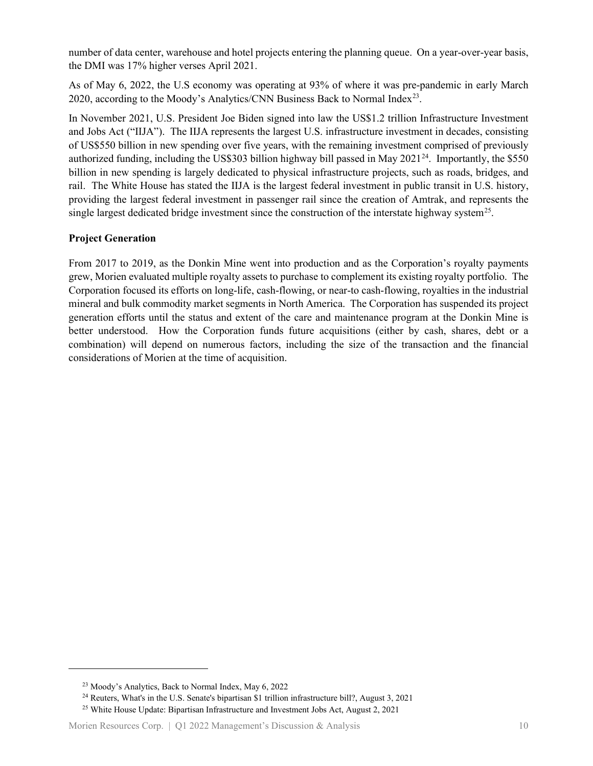number of data center, warehouse and hotel projects entering the planning queue. On a year-over-year basis, the DMI was 17% higher verses April 2021.

As of May 6, 2022, the U.S economy was operating at 93% of where it was pre-pandemic in early March 2020, according to the Moody's Analytics/CNN Business Back to Normal Index<sup>[23](#page-9-0)</sup>.

In November 2021, U.S. President Joe Biden signed into law the US\$1.2 trillion Infrastructure Investment and Jobs Act ("IIJA"). The IIJA represents the largest U.S. infrastructure investment in decades, consisting of US\$550 billion in new spending over five years, with the remaining investment comprised of previously authorized funding, including the US\$303 billion highway bill passed in May 2021<sup>24</sup>. Importantly, the \$550 billion in new spending is largely dedicated to physical infrastructure projects, such as roads, bridges, and rail. The White House has stated the IIJA is the largest federal investment in public transit in U.S. history, providing the largest federal investment in passenger rail since the creation of Amtrak, and represents the single largest dedicated bridge investment since the construction of the interstate highway system<sup>[25](#page-9-2)</sup>.

### **Project Generation**

From 2017 to 2019, as the Donkin Mine went into production and as the Corporation's royalty payments grew, Morien evaluated multiple royalty assets to purchase to complement its existing royalty portfolio. The Corporation focused its efforts on long-life, cash-flowing, or near-to cash-flowing, royalties in the industrial mineral and bulk commodity market segments in North America. The Corporation has suspended its project generation efforts until the status and extent of the care and maintenance program at the Donkin Mine is better understood. How the Corporation funds future acquisitions (either by cash, shares, debt or a combination) will depend on numerous factors, including the size of the transaction and the financial considerations of Morien at the time of acquisition.

<span id="page-9-0"></span><sup>23</sup> Moody's Analytics, Back to Normal Index, May 6, 2022

<sup>&</sup>lt;sup>24</sup> Reuters, What's in the U.S. Senate's bipartisan \$1 trillion infrastructure bill?, August 3, 2021

<span id="page-9-2"></span><span id="page-9-1"></span><sup>&</sup>lt;sup>25</sup> White House Update: Bipartisan Infrastructure and Investment Jobs Act, August 2, 2021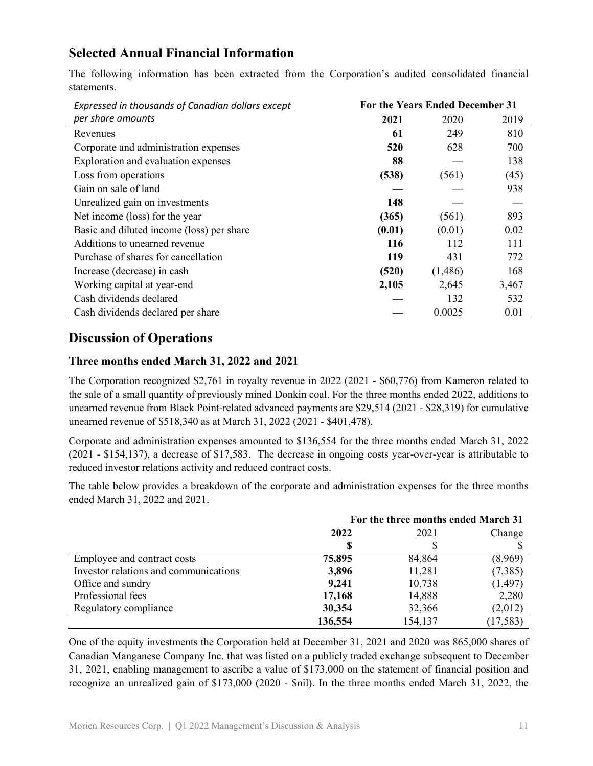## **Selected Annual Financial Information**

The following information has been extracted from the Corporation's audited consolidated financial statements.

| Expressed in thousands of Canadian dollars except | For the Years Ended December 31 |         |       |
|---------------------------------------------------|---------------------------------|---------|-------|
| per share amounts                                 | 2021                            | 2020    | 2019  |
| Revenues                                          | 61                              | 249     | 810   |
| Corporate and administration expenses             | 520                             | 628     | 700   |
| Exploration and evaluation expenses               | 88                              |         | 138   |
| Loss from operations                              | (538)                           | (561)   | (45)  |
| Gain on sale of land                              |                                 |         | 938   |
| Unrealized gain on investments                    | 148                             |         |       |
| Net income (loss) for the year                    | (365)                           | (561)   | 893   |
| Basic and diluted income (loss) per share         | (0.01)                          | (0.01)  | 0.02  |
| Additions to unearned revenue                     | 116                             | 112     | 111   |
| Purchase of shares for cancellation               | 119                             | 431     | 772   |
| Increase (decrease) in cash                       | (520)                           | (1,486) | 168   |
| Working capital at year-end                       | 2,105                           | 2,645   | 3,467 |
| Cash dividends declared                           |                                 | 132     | 532   |
| Cash dividends declared per share                 |                                 | 0.0025  | 0.01  |

### **Discussion of Operations**

### **Three months ended March 31, 2022 and 2021**

The Corporation recognized \$2,761 in royalty revenue in 2022 (2021 - \$60,776) from Kameron related to the sale of a small quantity of previously mined Donkin coal. For the three months ended 2022, additions to unearned revenue from Black Point-related advanced payments are \$29,514 (2021 - \$28,319) for cumulative unearned revenue of \$518,340 as at March 31, 2022 (2021 - \$401,478).

Corporate and administration expenses amounted to \$136,554 for the three months ended March 31, 2022 (2021 - \$154,137), a decrease of \$17,583. The decrease in ongoing costs year-over-year is attributable to reduced investor relations activity and reduced contract costs.

The table below provides a breakdown of the corporate and administration expenses for the three months ended March 31, 2022 and 2021.

|                                       | For the three months ended March 31 |         |           |  |
|---------------------------------------|-------------------------------------|---------|-----------|--|
|                                       | 2022                                | 2021    | Change    |  |
|                                       |                                     |         |           |  |
| Employee and contract costs           | 75,895                              | 84,864  | (8,969)   |  |
| Investor relations and communications | 3,896                               | 11,281  | (7,385)   |  |
| Office and sundry                     | 9,241                               | 10,738  | (1, 497)  |  |
| Professional fees                     | 17,168                              | 14,888  | 2,280     |  |
| Regulatory compliance                 | 30,354                              | 32,366  | (2,012)   |  |
|                                       | 136,554                             | 154,137 | (17, 583) |  |

One of the equity investments the Corporation held at December 31, 2021 and 2020 was 865,000 shares of Canadian Manganese Company Inc. that was listed on a publicly traded exchange subsequent to December 31, 2021, enabling management to ascribe a value of \$173,000 on the statement of financial position and recognize an unrealized gain of \$173,000 (2020 - \$nil). In the three months ended March 31, 2022, the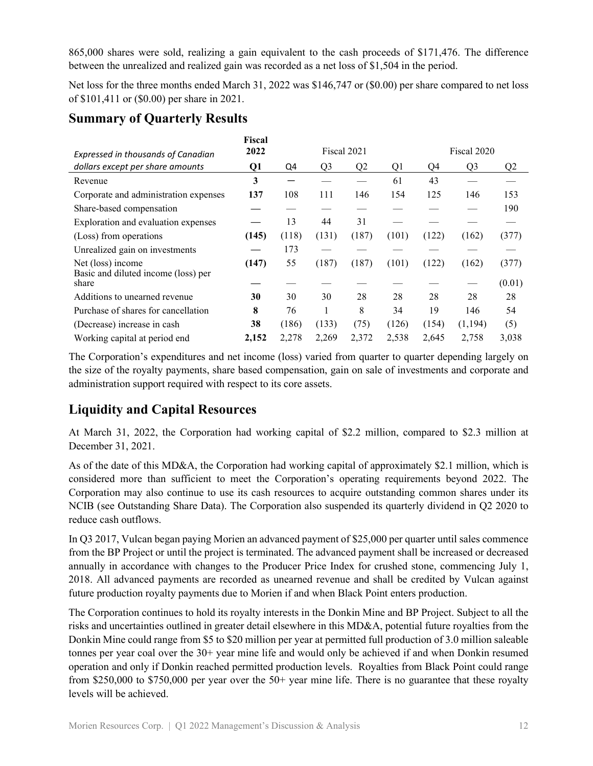865,000 shares were sold, realizing a gain equivalent to the cash proceeds of \$171,476. The difference between the unrealized and realized gain was recorded as a net loss of \$1,504 in the period.

Net loss for the three months ended March 31, 2022 was \$146,747 or (\$0.00) per share compared to net loss of \$101,411 or (\$0.00) per share in 2021.

# **Summary of Quarterly Results**

| Expressed in thousands of Canadian           | Fiscal<br>2022 | Fiscal 2021 |                |                |       |       | Fiscal 2020    |        |  |
|----------------------------------------------|----------------|-------------|----------------|----------------|-------|-------|----------------|--------|--|
| dollars except per share amounts             | Q1             | Q4          | Q <sub>3</sub> | Q <sub>2</sub> | Q1    | Q4    | Q <sub>3</sub> | Q2     |  |
| Revenue                                      | 3              |             |                |                | 61    | 43    |                |        |  |
| Corporate and administration expenses        | 137            | 108         | 111            | 146            | 154   | 125   | 146            | 153    |  |
| Share-based compensation                     |                |             |                |                |       |       |                | 190    |  |
| Exploration and evaluation expenses          |                | 13          | 44             | 31             |       |       |                |        |  |
| (Loss) from operations                       | (145)          | (118)       | (131)          | (187)          | (101) | (122) | (162)          | (377)  |  |
| Unrealized gain on investments               |                | 173         |                |                |       |       |                |        |  |
| Net (loss) income                            | (147)          | 55          | (187)          | (187)          | (101) | (122) | (162)          | (377)  |  |
| Basic and diluted income (loss) per<br>share |                |             |                |                |       |       |                | (0.01) |  |
| Additions to unearned revenue                | 30             | 30          | 30             | 28             | 28    | 28    | 28             | 28     |  |
| Purchase of shares for cancellation          | 8              | 76          |                | 8              | 34    | 19    | 146            | 54     |  |
| (Decrease) increase in cash                  | 38             | (186)       | (133)          | (75)           | (126) | (154) | (1, 194)       | (5)    |  |
| Working capital at period end                | 2,152          | 2,278       | 2,269          | 2,372          | 2,538 | 2,645 | 2,758          | 3,038  |  |

The Corporation's expenditures and net income (loss) varied from quarter to quarter depending largely on the size of the royalty payments, share based compensation, gain on sale of investments and corporate and administration support required with respect to its core assets.

# **Liquidity and Capital Resources**

At March 31, 2022, the Corporation had working capital of \$2.2 million, compared to \$2.3 million at December 31, 2021.

As of the date of this MD&A, the Corporation had working capital of approximately \$2.1 million, which is considered more than sufficient to meet the Corporation's operating requirements beyond 2022. The Corporation may also continue to use its cash resources to acquire outstanding common shares under its NCIB (see Outstanding Share Data). The Corporation also suspended its quarterly dividend in Q2 2020 to reduce cash outflows.

In Q3 2017, Vulcan began paying Morien an advanced payment of \$25,000 per quarter until sales commence from the BP Project or until the project is terminated. The advanced payment shall be increased or decreased annually in accordance with changes to the Producer Price Index for crushed stone, commencing July 1, 2018. All advanced payments are recorded as unearned revenue and shall be credited by Vulcan against future production royalty payments due to Morien if and when Black Point enters production.

The Corporation continues to hold its royalty interests in the Donkin Mine and BP Project. Subject to all the risks and uncertainties outlined in greater detail elsewhere in this MD&A, potential future royalties from the Donkin Mine could range from \$5 to \$20 million per year at permitted full production of 3.0 million saleable tonnes per year coal over the 30+ year mine life and would only be achieved if and when Donkin resumed operation and only if Donkin reached permitted production levels. Royalties from Black Point could range from \$250,000 to \$750,000 per year over the 50+ year mine life. There is no guarantee that these royalty levels will be achieved.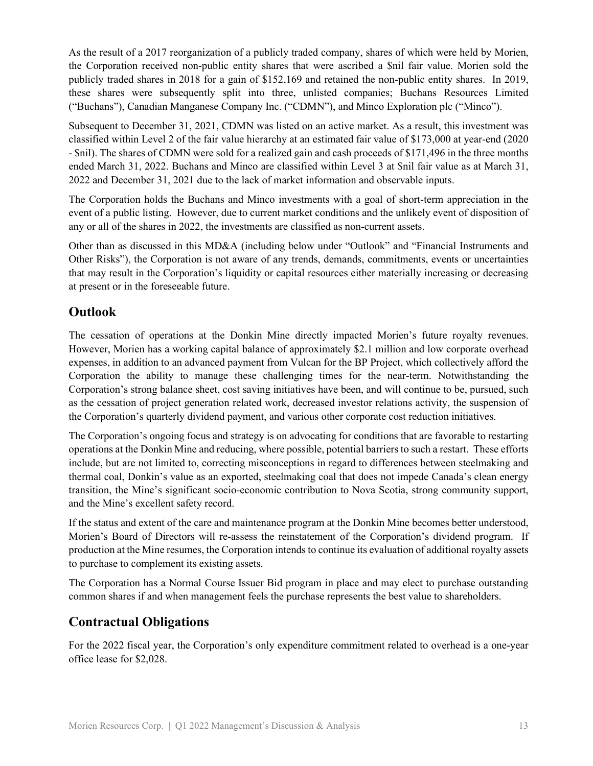As the result of a 2017 reorganization of a publicly traded company, shares of which were held by Morien, the Corporation received non-public entity shares that were ascribed a \$nil fair value. Morien sold the publicly traded shares in 2018 for a gain of \$152,169 and retained the non-public entity shares. In 2019, these shares were subsequently split into three, unlisted companies; Buchans Resources Limited ("Buchans"), Canadian Manganese Company Inc. ("CDMN"), and Minco Exploration plc ("Minco").

Subsequent to December 31, 2021, CDMN was listed on an active market. As a result, this investment was classified within Level 2 of the fair value hierarchy at an estimated fair value of \$173,000 at year-end (2020 - \$nil). The shares of CDMN were sold for a realized gain and cash proceeds of \$171,496 in the three months ended March 31, 2022. Buchans and Minco are classified within Level 3 at \$nil fair value as at March 31, 2022 and December 31, 2021 due to the lack of market information and observable inputs.

The Corporation holds the Buchans and Minco investments with a goal of short-term appreciation in the event of a public listing. However, due to current market conditions and the unlikely event of disposition of any or all of the shares in 2022, the investments are classified as non-current assets.

Other than as discussed in this MD&A (including below under "Outlook" and "Financial Instruments and Other Risks"), the Corporation is not aware of any trends, demands, commitments, events or uncertainties that may result in the Corporation's liquidity or capital resources either materially increasing or decreasing at present or in the foreseeable future.

## **Outlook**

The cessation of operations at the Donkin Mine directly impacted Morien's future royalty revenues. However, Morien has a working capital balance of approximately \$2.1 million and low corporate overhead expenses, in addition to an advanced payment from Vulcan for the BP Project, which collectively afford the Corporation the ability to manage these challenging times for the near-term. Notwithstanding the Corporation's strong balance sheet, cost saving initiatives have been, and will continue to be, pursued, such as the cessation of project generation related work, decreased investor relations activity, the suspension of the Corporation's quarterly dividend payment, and various other corporate cost reduction initiatives.

The Corporation's ongoing focus and strategy is on advocating for conditions that are favorable to restarting operations at the Donkin Mine and reducing, where possible, potential barriers to such a restart. These efforts include, but are not limited to, correcting misconceptions in regard to differences between steelmaking and thermal coal, Donkin's value as an exported, steelmaking coal that does not impede Canada's clean energy transition, the Mine's significant socio-economic contribution to Nova Scotia, strong community support, and the Mine's excellent safety record.

If the status and extent of the care and maintenance program at the Donkin Mine becomes better understood, Morien's Board of Directors will re-assess the reinstatement of the Corporation's dividend program. If production at the Mine resumes, the Corporation intends to continue its evaluation of additional royalty assets to purchase to complement its existing assets.

The Corporation has a Normal Course Issuer Bid program in place and may elect to purchase outstanding common shares if and when management feels the purchase represents the best value to shareholders.

# **Contractual Obligations**

For the 2022 fiscal year, the Corporation's only expenditure commitment related to overhead is a one-year office lease for \$2,028.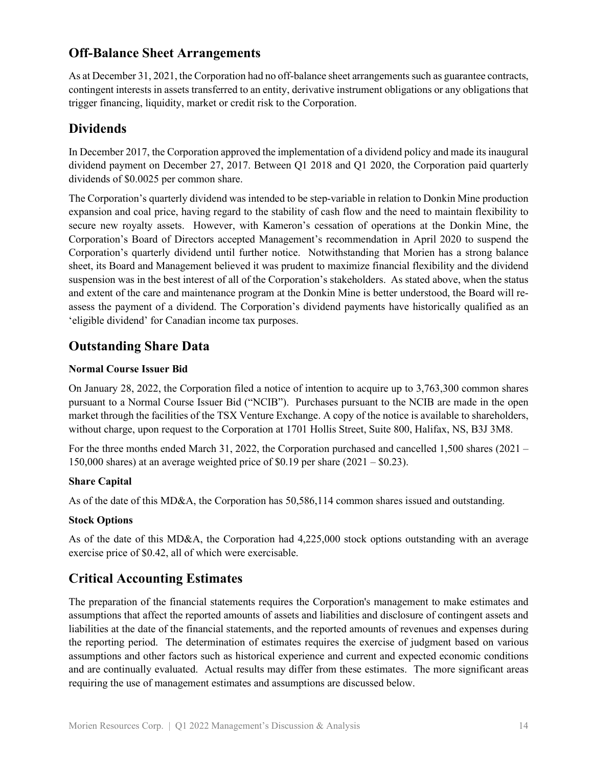## **Off-Balance Sheet Arrangements**

As at December 31, 2021, the Corporation had no off-balance sheet arrangements such as guarantee contracts, contingent interests in assets transferred to an entity, derivative instrument obligations or any obligations that trigger financing, liquidity, market or credit risk to the Corporation.

## **Dividends**

In December 2017, the Corporation approved the implementation of a dividend policy and made its inaugural dividend payment on December 27, 2017. Between Q1 2018 and Q1 2020, the Corporation paid quarterly dividends of \$0.0025 per common share.

The Corporation's quarterly dividend was intended to be step-variable in relation to Donkin Mine production expansion and coal price, having regard to the stability of cash flow and the need to maintain flexibility to secure new royalty assets. However, with Kameron's cessation of operations at the Donkin Mine, the Corporation's Board of Directors accepted Management's recommendation in April 2020 to suspend the Corporation's quarterly dividend until further notice. Notwithstanding that Morien has a strong balance sheet, its Board and Management believed it was prudent to maximize financial flexibility and the dividend suspension was in the best interest of all of the Corporation's stakeholders. As stated above, when the status and extent of the care and maintenance program at the Donkin Mine is better understood, the Board will reassess the payment of a dividend. The Corporation's dividend payments have historically qualified as an 'eligible dividend' for Canadian income tax purposes.

## **Outstanding Share Data**

### **Normal Course Issuer Bid**

On January 28, 2022, the Corporation filed a notice of intention to acquire up to 3,763,300 common shares pursuant to a Normal Course Issuer Bid ("NCIB"). Purchases pursuant to the NCIB are made in the open market through the facilities of the TSX Venture Exchange. A copy of the notice is available to shareholders, without charge, upon request to the Corporation at 1701 Hollis Street, Suite 800, Halifax, NS, B3J 3M8.

For the three months ended March 31, 2022, the Corporation purchased and cancelled 1,500 shares (2021 – 150,000 shares) at an average weighted price of \$0.19 per share (2021 – \$0.23).

### **Share Capital**

As of the date of this MD&A, the Corporation has 50,586,114 common shares issued and outstanding.

### **Stock Options**

As of the date of this MD&A, the Corporation had 4,225,000 stock options outstanding with an average exercise price of \$0.42, all of which were exercisable.

# **Critical Accounting Estimates**

The preparation of the financial statements requires the Corporation's management to make estimates and assumptions that affect the reported amounts of assets and liabilities and disclosure of contingent assets and liabilities at the date of the financial statements, and the reported amounts of revenues and expenses during the reporting period. The determination of estimates requires the exercise of judgment based on various assumptions and other factors such as historical experience and current and expected economic conditions and are continually evaluated. Actual results may differ from these estimates. The more significant areas requiring the use of management estimates and assumptions are discussed below.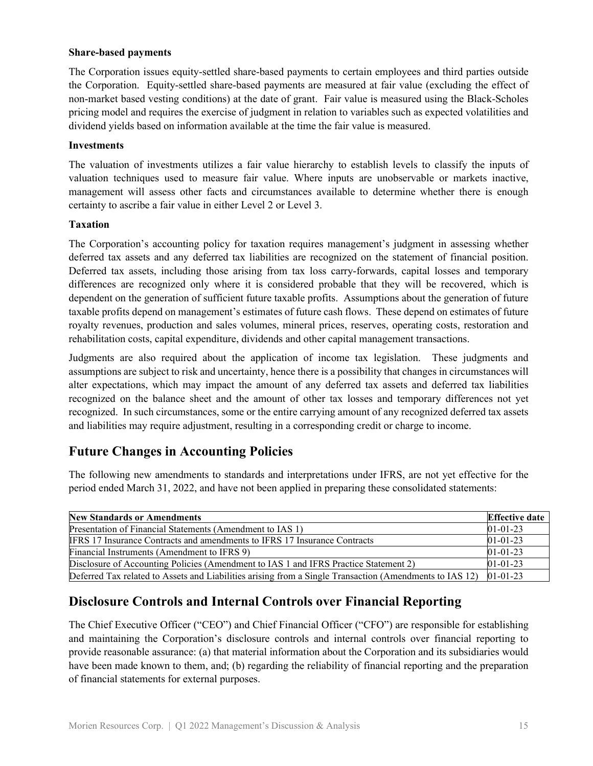#### **Share-based payments**

The Corporation issues equity-settled share-based payments to certain employees and third parties outside the Corporation. Equity-settled share-based payments are measured at fair value (excluding the effect of non-market based vesting conditions) at the date of grant. Fair value is measured using the Black-Scholes pricing model and requires the exercise of judgment in relation to variables such as expected volatilities and dividend yields based on information available at the time the fair value is measured.

#### **Investments**

The valuation of investments utilizes a fair value hierarchy to establish levels to classify the inputs of valuation techniques used to measure fair value. Where inputs are unobservable or markets inactive, management will assess other facts and circumstances available to determine whether there is enough certainty to ascribe a fair value in either Level 2 or Level 3.

#### **Taxation**

The Corporation's accounting policy for taxation requires management's judgment in assessing whether deferred tax assets and any deferred tax liabilities are recognized on the statement of financial position. Deferred tax assets, including those arising from tax loss carry-forwards, capital losses and temporary differences are recognized only where it is considered probable that they will be recovered, which is dependent on the generation of sufficient future taxable profits. Assumptions about the generation of future taxable profits depend on management's estimates of future cash flows. These depend on estimates of future royalty revenues, production and sales volumes, mineral prices, reserves, operating costs, restoration and rehabilitation costs, capital expenditure, dividends and other capital management transactions.

Judgments are also required about the application of income tax legislation. These judgments and assumptions are subject to risk and uncertainty, hence there is a possibility that changes in circumstances will alter expectations, which may impact the amount of any deferred tax assets and deferred tax liabilities recognized on the balance sheet and the amount of other tax losses and temporary differences not yet recognized. In such circumstances, some or the entire carrying amount of any recognized deferred tax assets and liabilities may require adjustment, resulting in a corresponding credit or charge to income.

# **Future Changes in Accounting Policies**

The following new amendments to standards and interpretations under IFRS, are not yet effective for the period ended March 31, 2022, and have not been applied in preparing these consolidated statements:

| <b>New Standards or Amendments</b>                                                                      | <b>Effective date</b> |
|---------------------------------------------------------------------------------------------------------|-----------------------|
| Presentation of Financial Statements (Amendment to IAS 1)                                               | $01 - 01 - 23$        |
| <b>IFRS 17 Insurance Contracts and amendments to IFRS 17 Insurance Contracts</b>                        | $01 - 01 - 23$        |
| Financial Instruments (Amendment to IFRS 9)                                                             | $01 - 01 - 23$        |
| Disclosure of Accounting Policies (Amendment to IAS 1 and IFRS Practice Statement 2)                    | $01 - 01 - 23$        |
| Deferred Tax related to Assets and Liabilities arising from a Single Transaction (Amendments to IAS 12) | $01 - 01 - 23$        |

# **Disclosure Controls and Internal Controls over Financial Reporting**

The Chief Executive Officer ("CEO") and Chief Financial Officer ("CFO") are responsible for establishing and maintaining the Corporation's disclosure controls and internal controls over financial reporting to provide reasonable assurance: (a) that material information about the Corporation and its subsidiaries would have been made known to them, and; (b) regarding the reliability of financial reporting and the preparation of financial statements for external purposes.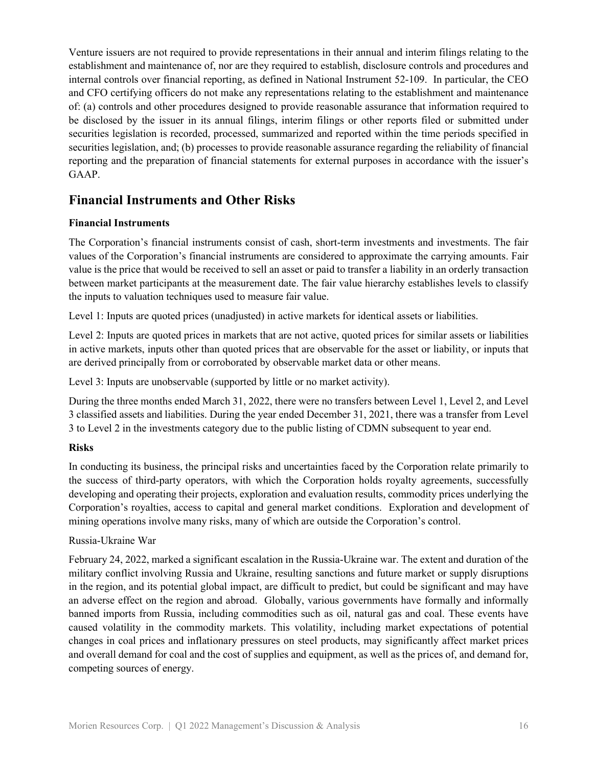Venture issuers are not required to provide representations in their annual and interim filings relating to the establishment and maintenance of, nor are they required to establish, disclosure controls and procedures and internal controls over financial reporting, as defined in National Instrument 52-109. In particular, the CEO and CFO certifying officers do not make any representations relating to the establishment and maintenance of: (a) controls and other procedures designed to provide reasonable assurance that information required to be disclosed by the issuer in its annual filings, interim filings or other reports filed or submitted under securities legislation is recorded, processed, summarized and reported within the time periods specified in securities legislation, and; (b) processes to provide reasonable assurance regarding the reliability of financial reporting and the preparation of financial statements for external purposes in accordance with the issuer's GAAP.

## **Financial Instruments and Other Risks**

#### **Financial Instruments**

The Corporation's financial instruments consist of cash, short-term investments and investments. The fair values of the Corporation's financial instruments are considered to approximate the carrying amounts. Fair value is the price that would be received to sell an asset or paid to transfer a liability in an orderly transaction between market participants at the measurement date. The fair value hierarchy establishes levels to classify the inputs to valuation techniques used to measure fair value.

Level 1: Inputs are quoted prices (unadjusted) in active markets for identical assets or liabilities.

Level 2: Inputs are quoted prices in markets that are not active, quoted prices for similar assets or liabilities in active markets, inputs other than quoted prices that are observable for the asset or liability, or inputs that are derived principally from or corroborated by observable market data or other means.

Level 3: Inputs are unobservable (supported by little or no market activity).

During the three months ended March 31, 2022, there were no transfers between Level 1, Level 2, and Level 3 classified assets and liabilities. During the year ended December 31, 2021, there was a transfer from Level 3 to Level 2 in the investments category due to the public listing of CDMN subsequent to year end.

### **Risks**

In conducting its business, the principal risks and uncertainties faced by the Corporation relate primarily to the success of third-party operators, with which the Corporation holds royalty agreements, successfully developing and operating their projects, exploration and evaluation results, commodity prices underlying the Corporation's royalties, access to capital and general market conditions. Exploration and development of mining operations involve many risks, many of which are outside the Corporation's control.

### Russia-Ukraine War

February 24, 2022, marked a significant escalation in the Russia-Ukraine war. The extent and duration of the military conflict involving Russia and Ukraine, resulting sanctions and future market or supply disruptions in the region, and its potential global impact, are difficult to predict, but could be significant and may have an adverse effect on the region and abroad. Globally, various governments have formally and informally banned imports from Russia, including commodities such as oil, natural gas and coal. These events have caused volatility in the commodity markets. This volatility, including market expectations of potential changes in coal prices and inflationary pressures on steel products, may significantly affect market prices and overall demand for coal and the cost of supplies and equipment, as well as the prices of, and demand for, competing sources of energy.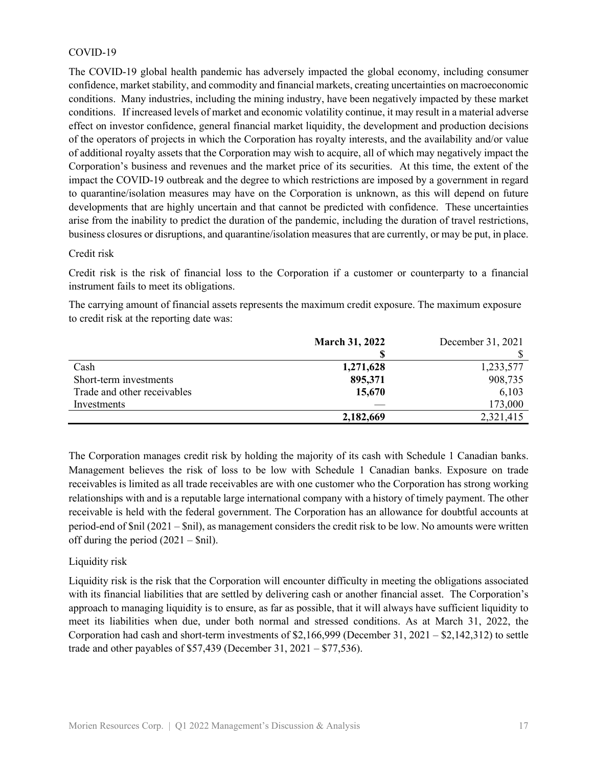#### COVID-19

The COVID-19 global health pandemic has adversely impacted the global economy, including consumer confidence, market stability, and commodity and financial markets, creating uncertainties on macroeconomic conditions. Many industries, including the mining industry, have been negatively impacted by these market conditions. If increased levels of market and economic volatility continue, it may result in a material adverse effect on investor confidence, general financial market liquidity, the development and production decisions of the operators of projects in which the Corporation has royalty interests, and the availability and/or value of additional royalty assets that the Corporation may wish to acquire, all of which may negatively impact the Corporation's business and revenues and the market price of its securities. At this time, the extent of the impact the COVID-19 outbreak and the degree to which restrictions are imposed by a government in regard to quarantine/isolation measures may have on the Corporation is unknown, as this will depend on future developments that are highly uncertain and that cannot be predicted with confidence. These uncertainties arise from the inability to predict the duration of the pandemic, including the duration of travel restrictions, business closures or disruptions, and quarantine/isolation measures that are currently, or may be put, in place.

#### Credit risk

Credit risk is the risk of financial loss to the Corporation if a customer or counterparty to a financial instrument fails to meet its obligations.

The carrying amount of financial assets represents the maximum credit exposure. The maximum exposure to credit risk at the reporting date was:

|                             | <b>March 31, 2022</b> | December 31, 2021 |
|-----------------------------|-----------------------|-------------------|
|                             |                       |                   |
| Cash                        | 1,271,628             | 1,233,577         |
| Short-term investments      | 895,371               | 908,735           |
| Trade and other receivables | 15,670                | 6,103             |
| Investments                 |                       | 173,000           |
|                             | 2,182,669             | 2,321,415         |

The Corporation manages credit risk by holding the majority of its cash with Schedule 1 Canadian banks. Management believes the risk of loss to be low with Schedule 1 Canadian banks. Exposure on trade receivables is limited as all trade receivables are with one customer who the Corporation has strong working relationships with and is a reputable large international company with a history of timely payment. The other receivable is held with the federal government. The Corporation has an allowance for doubtful accounts at period-end of \$nil (2021 – \$nil), as management considers the credit risk to be low. No amounts were written off during the period  $(2021 - Snil)$ .

#### Liquidity risk

Liquidity risk is the risk that the Corporation will encounter difficulty in meeting the obligations associated with its financial liabilities that are settled by delivering cash or another financial asset. The Corporation's approach to managing liquidity is to ensure, as far as possible, that it will always have sufficient liquidity to meet its liabilities when due, under both normal and stressed conditions. As at March 31, 2022, the Corporation had cash and short-term investments of \$2,166,999 (December 31, 2021 – \$2,142,312) to settle trade and other payables of \$57,439 (December 31, 2021 – \$77,536).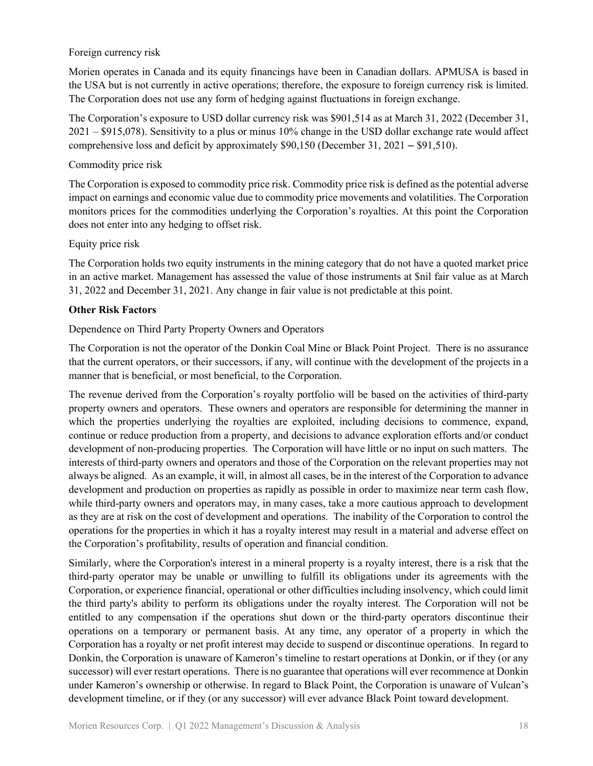#### Foreign currency risk

Morien operates in Canada and its equity financings have been in Canadian dollars. APMUSA is based in the USA but is not currently in active operations; therefore, the exposure to foreign currency risk is limited. The Corporation does not use any form of hedging against fluctuations in foreign exchange.

The Corporation's exposure to USD dollar currency risk was \$901,514 as at March 31, 2022 (December 31, 2021 – \$915,078). Sensitivity to a plus or minus 10% change in the USD dollar exchange rate would affect comprehensive loss and deficit by approximately \$90,150 (December 31, 2021 – \$91,510).

#### Commodity price risk

The Corporation is exposed to commodity price risk. Commodity price risk is defined as the potential adverse impact on earnings and economic value due to commodity price movements and volatilities. The Corporation monitors prices for the commodities underlying the Corporation's royalties. At this point the Corporation does not enter into any hedging to offset risk.

#### Equity price risk

The Corporation holds two equity instruments in the mining category that do not have a quoted market price in an active market. Management has assessed the value of those instruments at \$nil fair value as at March 31, 2022 and December 31, 2021. Any change in fair value is not predictable at this point.

#### **Other Risk Factors**

#### Dependence on Third Party Property Owners and Operators

The Corporation is not the operator of the Donkin Coal Mine or Black Point Project. There is no assurance that the current operators, or their successors, if any, will continue with the development of the projects in a manner that is beneficial, or most beneficial, to the Corporation.

The revenue derived from the Corporation's royalty portfolio will be based on the activities of third-party property owners and operators. These owners and operators are responsible for determining the manner in which the properties underlying the royalties are exploited, including decisions to commence, expand, continue or reduce production from a property, and decisions to advance exploration efforts and/or conduct development of non-producing properties. The Corporation will have little or no input on such matters. The interests of third-party owners and operators and those of the Corporation on the relevant properties may not always be aligned. As an example, it will, in almost all cases, be in the interest of the Corporation to advance development and production on properties as rapidly as possible in order to maximize near term cash flow, while third-party owners and operators may, in many cases, take a more cautious approach to development as they are at risk on the cost of development and operations. The inability of the Corporation to control the operations for the properties in which it has a royalty interest may result in a material and adverse effect on the Corporation's profitability, results of operation and financial condition.

Similarly, where the Corporation's interest in a mineral property is a royalty interest, there is a risk that the third-party operator may be unable or unwilling to fulfill its obligations under its agreements with the Corporation, or experience financial, operational or other difficulties including insolvency, which could limit the third party's ability to perform its obligations under the royalty interest. The Corporation will not be entitled to any compensation if the operations shut down or the third-party operators discontinue their operations on a temporary or permanent basis. At any time, any operator of a property in which the Corporation has a royalty or net profit interest may decide to suspend or discontinue operations. In regard to Donkin, the Corporation is unaware of Kameron's timeline to restart operations at Donkin, or if they (or any successor) will ever restart operations. There is no guarantee that operations will ever recommence at Donkin under Kameron's ownership or otherwise. In regard to Black Point, the Corporation is unaware of Vulcan's development timeline, or if they (or any successor) will ever advance Black Point toward development.